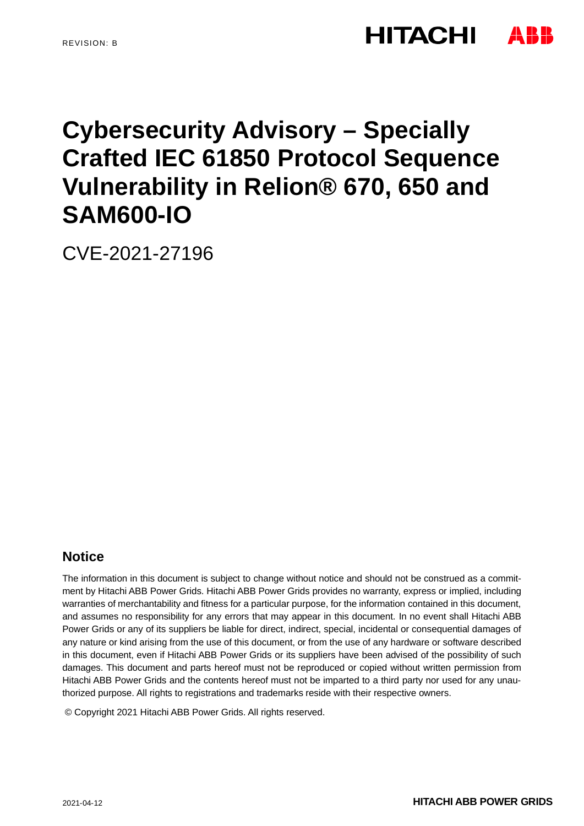# **HITACHI**

# **Cybersecurity Advisory – Specially Crafted IEC 61850 Protocol Sequence Vulnerability in Relion® 670, 650 and SAM600-IO**

CVE-2021-27196

## **Notice**

The information in this document is subject to change without notice and should not be construed as a commitment by Hitachi ABB Power Grids. Hitachi ABB Power Grids provides no warranty, express or implied, including warranties of merchantability and fitness for a particular purpose, for the information contained in this document, and assumes no responsibility for any errors that may appear in this document. In no event shall Hitachi ABB Power Grids or any of its suppliers be liable for direct, indirect, special, incidental or consequential damages of any nature or kind arising from the use of this document, or from the use of any hardware or software described in this document, even if Hitachi ABB Power Grids or its suppliers have been advised of the possibility of such damages. This document and parts hereof must not be reproduced or copied without written permission from Hitachi ABB Power Grids and the contents hereof must not be imparted to a third party nor used for any unauthorized purpose. All rights to registrations and trademarks reside with their respective owners.

© Copyright 2021 Hitachi ABB Power Grids. All rights reserved.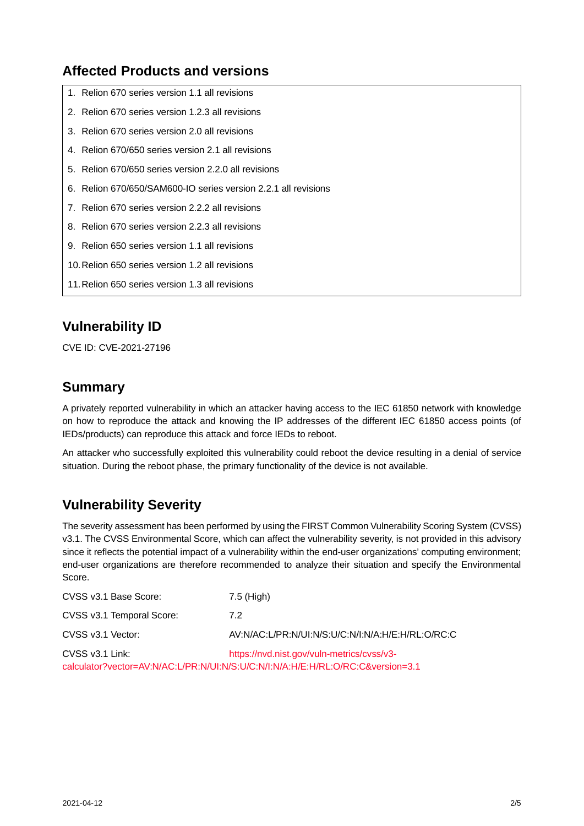# **Affected Products and versions**

- 1. Relion 670 series version 1.1 all revisions
- 2. Relion 670 series version 1.2.3 all revisions
- 3. Relion 670 series version 2.0 all revisions
- 4. Relion 670/650 series version 2.1 all revisions
- 5. Relion 670/650 series version 2.2.0 all revisions
- 6. Relion 670/650/SAM600-IO series version 2.2.1 all revisions
- 7. Relion 670 series version 2.2.2 all revisions
- 8. Relion 670 series version 2.2.3 all revisions
- 9. Relion 650 series version 1.1 all revisions
- 10. Relion 650 series version 1.2 all revisions
- 11. Relion 650 series version 1.3 all revisions

## **Vulnerability ID**

CVE ID: CVE-2021-27196

## **Summary**

A privately reported vulnerability in which an attacker having access to the IEC 61850 network with knowledge on how to reproduce the attack and knowing the IP addresses of the different IEC 61850 access points (of IEDs/products) can reproduce this attack and force IEDs to reboot.

An attacker who successfully exploited this vulnerability could reboot the device resulting in a denial of service situation. During the reboot phase, the primary functionality of the device is not available.

# **Vulnerability Severity**

The severity assessment has been performed by using the FIRST Common Vulnerability Scoring System (CVSS) v3.1. The CVSS Environmental Score, which can affect the vulnerability severity, is not provided in this advisory since it reflects the potential impact of a vulnerability within the end-user organizations' computing environment; end-user organizations are therefore recommended to analyze their situation and specify the Environmental Score.

| CVSS v3.1 Base Score:     | 7.5 (High)                                                                                                                    |
|---------------------------|-------------------------------------------------------------------------------------------------------------------------------|
| CVSS v3.1 Temporal Score: | 7.2                                                                                                                           |
| CVSS v3.1 Vector:         | AV:N/AC:L/PR:N/UI:N/S:U/C:N/I:N/A:H/E:H/RL:O/RC:C                                                                             |
| CVSS v3.1 Link:           | https://nvd.nist.gov/vuln-metrics/cvss/v3-<br>calculator?vector=AV:N/AC:L/PR:N/UI:N/S:U/C:N/I:N/A:H/E:H/RL:O/RC:C&version=3.1 |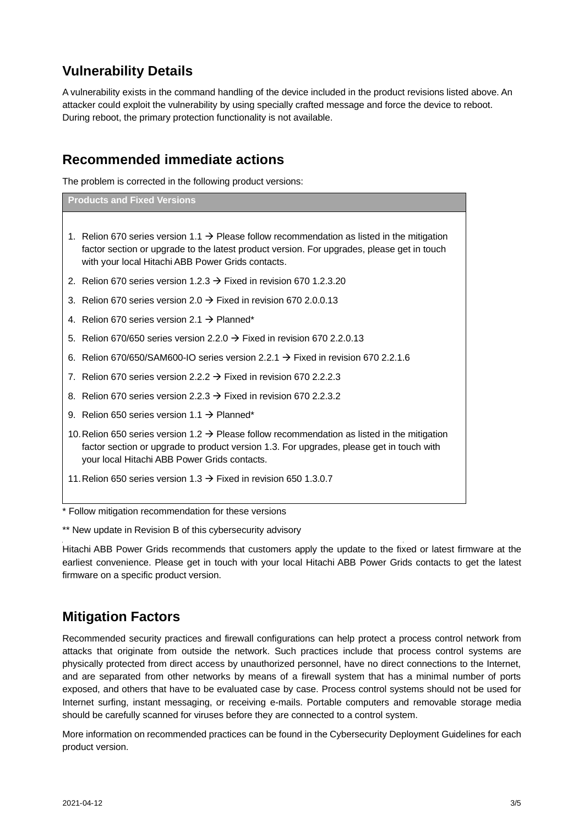# **Vulnerability Details**

A vulnerability exists in the command handling of the device included in the product revisions listed above. An attacker could exploit the vulnerability by using specially crafted message and force the device to reboot. During reboot, the primary protection functionality is not available.

## **Recommended immediate actions**

The problem is corrected in the following product versions:

**Products and Fixed Versions**

- 1. Relion 670 series version 1.1  $\rightarrow$  Please follow recommendation as listed in the mitigation factor section or upgrade to the latest product version. For upgrades, please get in touch with your local Hitachi ABB Power Grids contacts.
- 2. Relion 670 series version 1.2.3  $\rightarrow$  Fixed in revision 670 1.2.3.20
- 3. Relion 670 series version 2.0  $\rightarrow$  Fixed in revision 670 2.0.0.13
- 4. Relion 670 series version 2.1  $\rightarrow$  Planned\*
- 5. Relion 670/650 series version 2.2.0  $\rightarrow$  Fixed in revision 670 2.2.0.13
- 6. Relion 670/650/SAM600-IO series version 2.2.1  $\rightarrow$  Fixed in revision 670 2.2.1.6
- 7. Relion 670 series version 2.2.2  $\rightarrow$  Fixed in revision 670 2.2.2.3
- 8. Relion 670 series version 2.2.3  $\rightarrow$  Fixed in revision 670 2.2.3.2
- 9. Relion 650 series version 1.1  $\rightarrow$  Planned\*
- 10. Relion 650 series version 1.2  $\rightarrow$  Please follow recommendation as listed in the mitigation factor section or upgrade to product version 1.3. For upgrades, please get in touch with your local Hitachi ABB Power Grids contacts.
- 11. Relion 650 series version 1.3  $\rightarrow$  Fixed in revision 650 1.3.0.7

Follow mitigation recommendation for these versions

\*\* New update in Revision B of this cybersecurity advisory

Hitachi ABB Power Grids recommends that customers apply the update to the fixed or latest firmware at the earliest convenience. Please get in touch with your local Hitachi ABB Power Grids contacts to get the latest firmware on a specific product version.

## **Mitigation Factors**

Recommended security practices and firewall configurations can help protect a process control network from attacks that originate from outside the network. Such practices include that process control systems are physically protected from direct access by unauthorized personnel, have no direct connections to the Internet, and are separated from other networks by means of a firewall system that has a minimal number of ports exposed, and others that have to be evaluated case by case. Process control systems should not be used for Internet surfing, instant messaging, or receiving e-mails. Portable computers and removable storage media should be carefully scanned for viruses before they are connected to a control system.

More information on recommended practices can be found in the Cybersecurity Deployment Guidelines for each product version.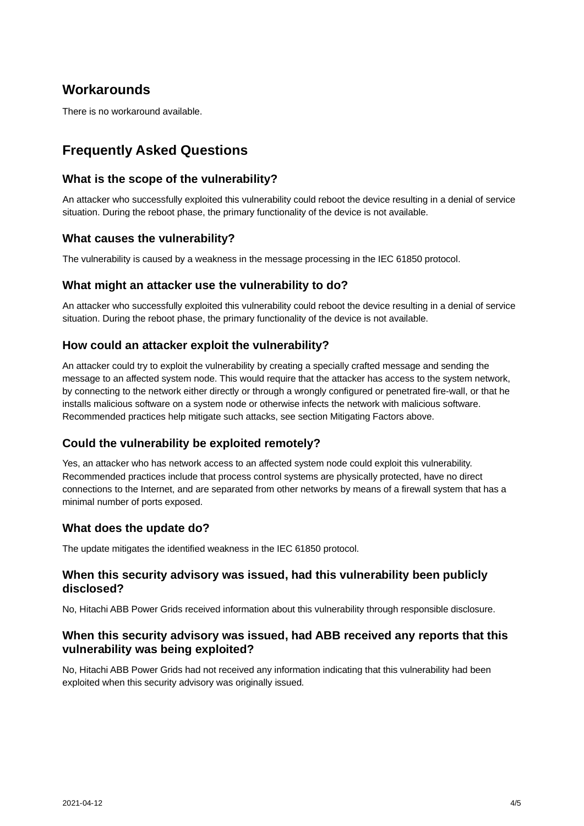## **Workarounds**

There is no workaround available.

# **Frequently Asked Questions**

#### **What is the scope of the vulnerability?**

An attacker who successfully exploited this vulnerability could reboot the device resulting in a denial of service situation. During the reboot phase, the primary functionality of the device is not available.

#### **What causes the vulnerability?**

The vulnerability is caused by a weakness in the message processing in the IEC 61850 protocol.

#### **What might an attacker use the vulnerability to do?**

An attacker who successfully exploited this vulnerability could reboot the device resulting in a denial of service situation. During the reboot phase, the primary functionality of the device is not available.

#### **How could an attacker exploit the vulnerability?**

An attacker could try to exploit the vulnerability by creating a specially crafted message and sending the message to an affected system node. This would require that the attacker has access to the system network, by connecting to the network either directly or through a wrongly configured or penetrated fire-wall, or that he installs malicious software on a system node or otherwise infects the network with malicious software. Recommended practices help mitigate such attacks, see section Mitigating Factors above.

#### **Could the vulnerability be exploited remotely?**

Yes, an attacker who has network access to an affected system node could exploit this vulnerability. Recommended practices include that process control systems are physically protected, have no direct connections to the Internet, and are separated from other networks by means of a firewall system that has a minimal number of ports exposed.

#### **What does the update do?**

The update mitigates the identified weakness in the IEC 61850 protocol.

#### **When this security advisory was issued, had this vulnerability been publicly disclosed?**

No, Hitachi ABB Power Grids received information about this vulnerability through responsible disclosure.

#### **When this security advisory was issued, had ABB received any reports that this vulnerability was being exploited?**

No, Hitachi ABB Power Grids had not received any information indicating that this vulnerability had been exploited when this security advisory was originally issued.